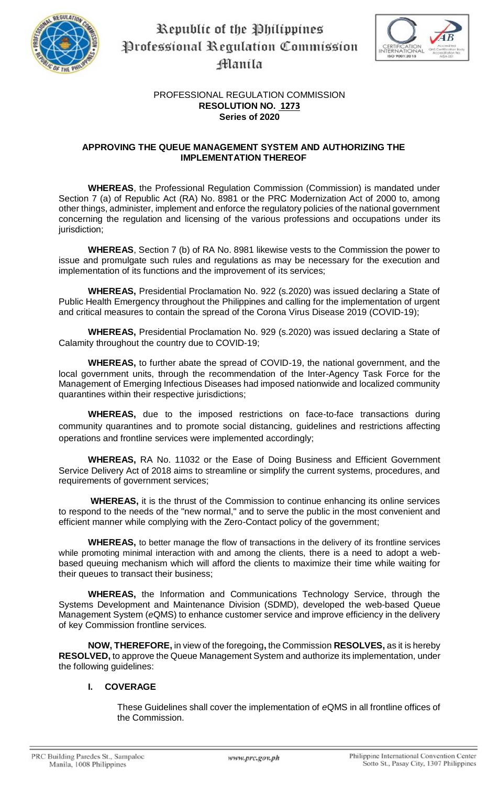

# Republic of the Philippines Professional Regulation Commission Manila



# PROFESSIONAL REGULATION COMMISSION **RESOLUTION NO. 1273 Series of 2020**

# **APPROVING THE QUEUE MANAGEMENT SYSTEM AND AUTHORIZING THE IMPLEMENTATION THEREOF**

**WHEREAS**, the Professional Regulation Commission (Commission) is mandated under Section 7 (a) of Republic Act (RA) No. 8981 or the PRC Modernization Act of 2000 to, among other things, administer, implement and enforce the regulatory policies of the national government concerning the regulation and licensing of the various professions and occupations under its jurisdiction;

**WHEREAS**, Section 7 (b) of RA No. 8981 likewise vests to the Commission the power to issue and promulgate such rules and regulations as may be necessary for the execution and implementation of its functions and the improvement of its services;

**WHEREAS,** Presidential Proclamation No. 922 (s.2020) was issued declaring a State of Public Health Emergency throughout the Philippines and calling for the implementation of urgent and critical measures to contain the spread of the Corona Virus Disease 2019 (COVID-19);

**WHEREAS,** Presidential Proclamation No. 929 (s.2020) was issued declaring a State of Calamity throughout the country due to COVID-19;

**WHEREAS,** to further abate the spread of COVID-19, the national government, and the local government units, through the recommendation of the Inter-Agency Task Force for the Management of Emerging Infectious Diseases had imposed nationwide and localized community quarantines within their respective jurisdictions;

**WHEREAS,** due to the imposed restrictions on face-to-face transactions during community quarantines and to promote social distancing, guidelines and restrictions affecting operations and frontline services were implemented accordingly;

**WHEREAS,** RA No. 11032 or the Ease of Doing Business and Efficient Government Service Delivery Act of 2018 aims to streamline or simplify the current systems, procedures, and requirements of government services;

**WHEREAS,** it is the thrust of the Commission to continue enhancing its online services to respond to the needs of the "new normal," and to serve the public in the most convenient and efficient manner while complying with the Zero-Contact policy of the government;

**WHEREAS,** to better manage the flow of transactions in the delivery of its frontline services while promoting minimal interaction with and among the clients, there is a need to adopt a webbased queuing mechanism which will afford the clients to maximize their time while waiting for their queues to transact their business;

**WHEREAS,** the Information and Communications Technology Service, through the Systems Development and Maintenance Division (SDMD), developed the web-based Queue Management System (*e*QMS) to enhance customer service and improve efficiency in the delivery of key Commission frontline services.

**NOW, THEREFORE,** in view of the foregoing**,** the Commission **RESOLVES,** as it is hereby **RESOLVED,** to approve the Queue Management System and authorize its implementation, under the following guidelines:

# **I. COVERAGE**

These Guidelines shall cover the implementation of *e*QMS in all frontline offices of the Commission.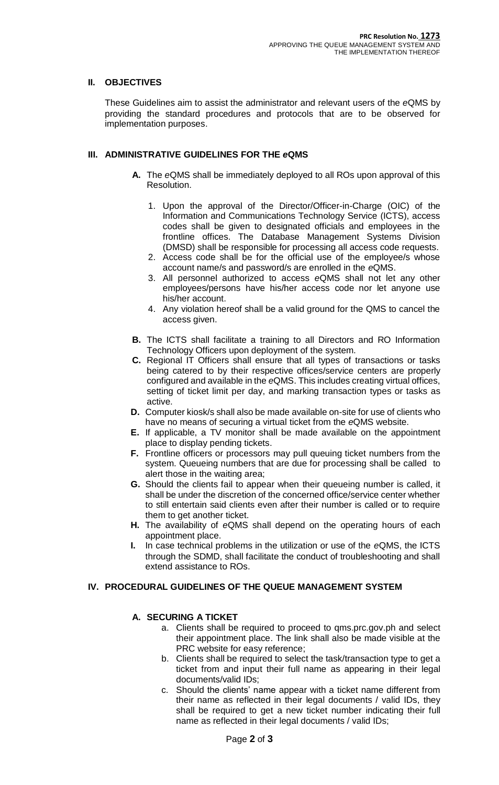# **II. OBJECTIVES**

These Guidelines aim to assist the administrator and relevant users of the *e*QMS by providing the standard procedures and protocols that are to be observed for implementation purposes.

#### **III. ADMINISTRATIVE GUIDELINES FOR THE** *e***QMS**

- **A.** The *e*QMS shall be immediately deployed to all ROs upon approval of this Resolution.
	- 1. Upon the approval of the Director/Officer-in-Charge (OIC) of the Information and Communications Technology Service (ICTS), access codes shall be given to designated officials and employees in the frontline offices. The Database Management Systems Division (DMSD) shall be responsible for processing all access code requests.
	- 2. Access code shall be for the official use of the employee/s whose account name/s and password/s are enrolled in the *e*QMS.
	- 3. All personnel authorized to access *e*QMS shall not let any other employees/persons have his/her access code nor let anyone use his/her account.
	- 4. Any violation hereof shall be a valid ground for the QMS to cancel the access given.
- **B.** The ICTS shall facilitate a training to all Directors and RO Information Technology Officers upon deployment of the system.
- **C.** Regional IT Officers shall ensure that all types of transactions or tasks being catered to by their respective offices/service centers are properly configured and available in the *e*QMS. This includes creating virtual offices, setting of ticket limit per day, and marking transaction types or tasks as active.
- **D.** Computer kiosk/s shall also be made available on-site for use of clients who have no means of securing a virtual ticket from the *e*QMS website.
- **E.** If applicable, a TV monitor shall be made available on the appointment place to display pending tickets.
- **F.** Frontline officers or processors may pull queuing ticket numbers from the system. Queueing numbers that are due for processing shall be called to alert those in the waiting area;
- **G.** Should the clients fail to appear when their queueing number is called, it shall be under the discretion of the concerned office/service center whether to still entertain said clients even after their number is called or to require them to get another ticket.
- **H.** The availability of *e*QMS shall depend on the operating hours of each appointment place.
- **I.** In case technical problems in the utilization or use of the *e*QMS, the ICTS through the SDMD, shall facilitate the conduct of troubleshooting and shall extend assistance to ROs.

#### **IV. PROCEDURAL GUIDELINES OF THE QUEUE MANAGEMENT SYSTEM**

#### **A. SECURING A TICKET**

- a. Clients shall be required to proceed to qms.prc.gov.ph and select their appointment place. The link shall also be made visible at the PRC website for easy reference;
- b. Clients shall be required to select the task/transaction type to get a ticket from and input their full name as appearing in their legal documents/valid IDs;
- c. Should the clients' name appear with a ticket name different from their name as reflected in their legal documents / valid IDs, they shall be required to get a new ticket number indicating their full name as reflected in their legal documents / valid IDs;